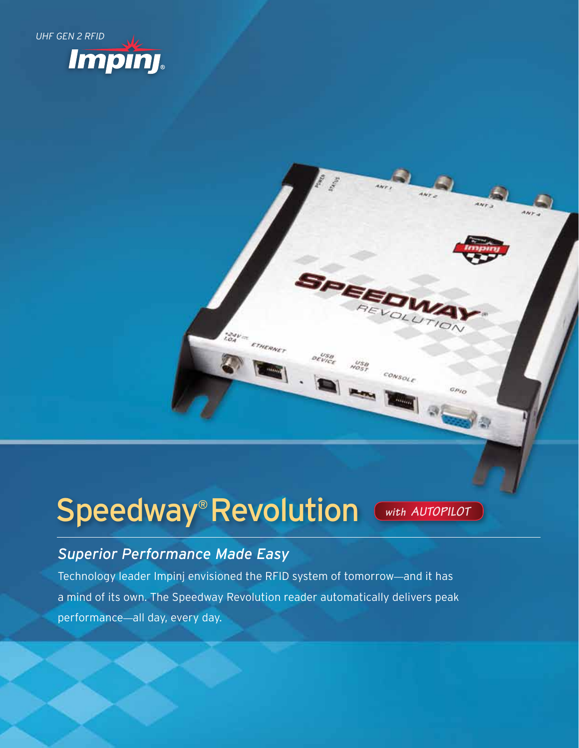

# Speedway® Revolution

*with AutoPilot*

GPIO

console

#### *Superior Performance Made Easy*

Technology leader Impinj envisioned the RFID system of tomorrow—and it has a mind of its own. The Speedway Revolution reader automatically delivers peak performance—all day, every day.

TOAV - ETHERNET

startes.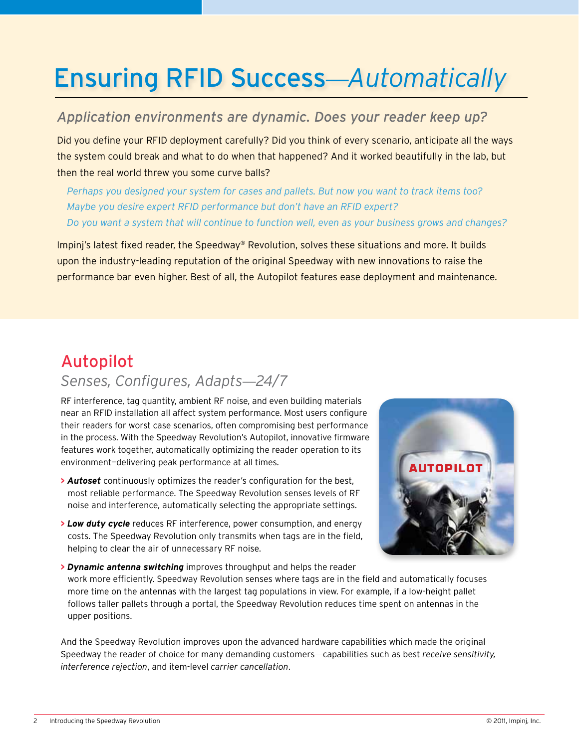## Ensuring RFID Success—*Automatically*

#### *Application environments are dynamic. Does your reader keep up?*

Did you define your RFID deployment carefully? Did you think of every scenario, anticipate all the ways the system could break and what to do when that happened? And it worked beautifully in the lab, but then the real world threw you some curve balls?

*Perhaps you designed your system for cases and pallets. But now you want to track items too? Maybe you desire expert RFID performance but don't have an RFID expert? Do you want a system that will continue to function well, even as your business grows and changes?*

Impinj's latest fixed reader, the Speedway® Revolution, solves these situations and more. It builds upon the industry-leading reputation of the original Speedway with new innovations to raise the performance bar even higher. Best of all, the Autopilot features ease deployment and maintenance.

### Autopilot *Senses, Configures, Adapts*—*24/7*

RF interference, tag quantity, ambient RF noise, and even building materials near an RFID installation all affect system performance. Most users configure their readers for worst case scenarios, often compromising best performance in the process. With the Speedway Revolution's Autopilot, innovative firmware features work together, automatically optimizing the reader operation to its environment—delivering peak performance at all times.

- **>** *Autoset* continuously optimizes the reader's configuration for the best, most reliable performance. The Speedway Revolution senses levels of RF noise and interference, automatically selecting the appropriate settings.
- **>** *Low duty cycle* reduces RF interference, power consumption, and energy costs. The Speedway Revolution only transmits when tags are in the field, helping to clear the air of unnecessary RF noise.



**>** *Dynamic antenna switching* improves throughput and helps the reader work more efficiently. Speedway Revolution senses where tags are in the field and automatically focuses more time on the antennas with the largest tag populations in view. For example, if a low-height pallet follows taller pallets through a portal, the Speedway Revolution reduces time spent on antennas in the upper positions.

And the Speedway Revolution improves upon the advanced hardware capabilities which made the original Speedway the reader of choice for many demanding customers—capabilities such as best *receive sensitivity, interference rejection*, and item-level *carrier cancellation*.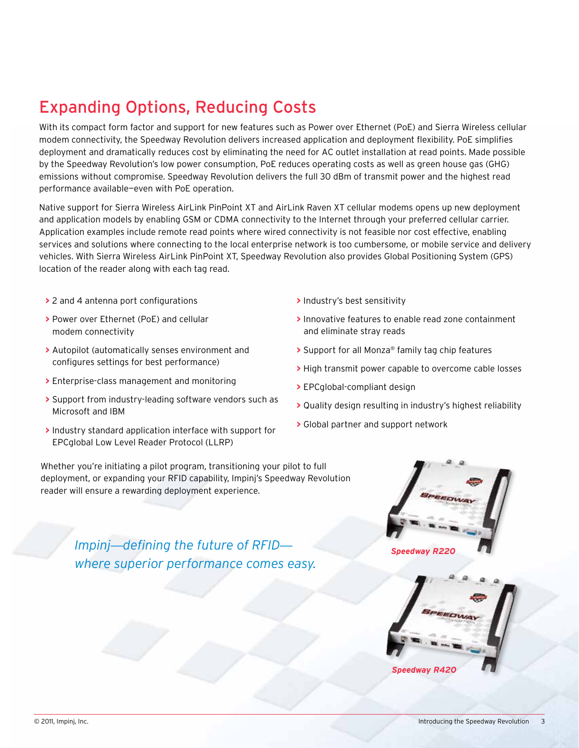## Expanding Options, Reducing Costs

With its compact form factor and support for new features such as Power over Ethernet (PoE) and Sierra Wireless cellular modem connectivity, the Speedway Revolution delivers increased application and deployment flexibility. PoE simplifies deployment and dramatically reduces cost by eliminating the need for AC outlet installation at read points. Made possible by the Speedway Revolution's low power consumption, PoE reduces operating costs as well as green house gas (GHG) emissions without compromise. Speedway Revolution delivers the full 30 dBm of transmit power and the highest read performance available—even with PoE operation.

Native support for Sierra Wireless AirLink PinPoint XT and AirLink Raven XT cellular modems opens up new deployment and application models by enabling GSM or CDMA connectivity to the Internet through your preferred cellular carrier. Application examples include remote read points where wired connectivity is not feasible nor cost effective, enabling services and solutions where connecting to the local enterprise network is too cumbersome, or mobile service and delivery vehicles. With Sierra Wireless AirLink PinPoint XT, Speedway Revolution also provides Global Positioning System (GPS) location of the reader along with each tag read.

- **>** 2 and 4 antenna port configurations
- **>** Power over Ethernet (PoE) and cellular modem connectivity
- **>** Autopilot (automatically senses environment and configures settings for best performance)
- **>** Enterprise-class management and monitoring
- **>** Support from industry-leading software vendors such as Microsoft and IBM
- **>** Industry standard application interface with support for EPCglobal Low Level Reader Protocol (LLRP)
- **>** Industry's best sensitivity
- **>** Innovative features to enable read zone containment and eliminate stray reads
- **>** Support for all Monza® family tag chip features
- **>** High transmit power capable to overcome cable losses
- **>** EPCglobal-compliant design
- **>** Quality design resulting in industry's highest reliability
- **>** Global partner and support network

Whether you're initiating a pilot program, transitioning your pilot to full deployment, or expanding your RFID capability, Impinj's Speedway Revolution reader will ensure a rewarding deployment experience.

> *Impinj*—*defining the future of RFID where superior performance comes easy.*